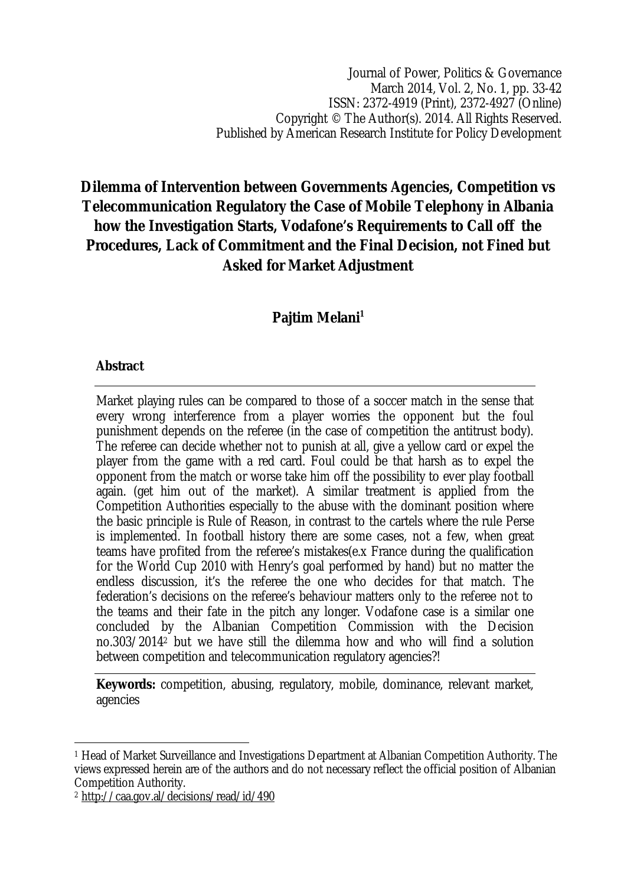Journal of Power, Politics & Governance March 2014, Vol. 2, No. 1, pp. 33-42 ISSN: 2372-4919 (Print), 2372-4927 (Online) Copyright © The Author(s). 2014. All Rights Reserved. Published by American Research Institute for Policy Development

# **Dilemma of Intervention between Governments Agencies, Competition vs Telecommunication Regulatory the Case of Mobile Telephony in Albania how the Investigation Starts, Vodafone's Requirements to Call off the Procedures, Lack of Commitment and the Final Decision, not Fined but Asked for Market Adjustment**

# **Pajtim Melani<sup>1</sup>**

#### **Abstract**

Market playing rules can be compared to those of a soccer match in the sense that every wrong interference from a player worries the opponent but the foul punishment depends on the referee (in the case of competition the antitrust body). The referee can decide whether not to punish at all, give a yellow card or expel the player from the game with a red card. Foul could be that harsh as to expel the opponent from the match or worse take him off the possibility to ever play football again. (get him out of the market). A similar treatment is applied from the Competition Authorities especially to the abuse with the dominant position where the basic principle is Rule of Reason, in contrast to the cartels where the rule Perse is implemented. In football history there are some cases, not a few, when great teams have profited from the referee's mistakes(e.x France during the qualification for the World Cup 2010 with Henry's goal performed by hand) but no matter the endless discussion, it's the referee the one who decides for that match. The federation's decisions on the referee's behaviour matters only to the referee not to the teams and their fate in the pitch any longer. Vodafone case is a similar one concluded by the Albanian Competition Commission with the Decision no.303/2014<sup>2</sup> but we have still the dilemma how and who will find a solution between competition and telecommunication regulatory agencies?!

**Keywords:** competition, abusing, regulatory, mobile, dominance, relevant market, agencies

 $\overline{a}$ <sup>1</sup> Head of Market Surveillance and Investigations Department at Albanian Competition Authority. The views expressed herein are of the authors and do not necessary reflect the official position of Albanian Competition Authority.

<sup>2</sup> http://caa.gov.al/decisions/read/id/490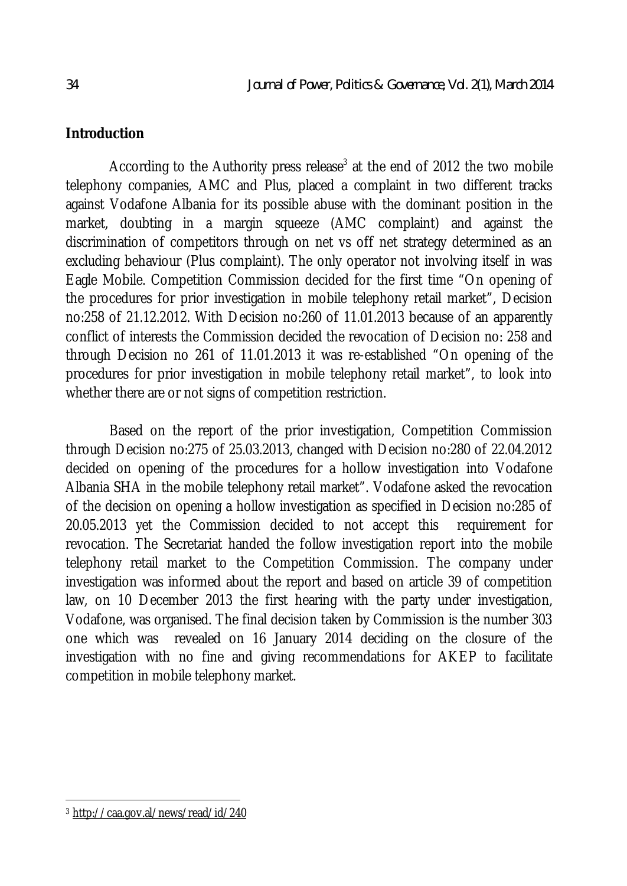## **Introduction**

According to the Authority press release<sup>3</sup> at the end of 2012 the two mobile telephony companies, AMC and Plus, placed a complaint in two different tracks against Vodafone Albania for its possible abuse with the dominant position in the market, doubting in a margin squeeze (AMC complaint) and against the discrimination of competitors through on net vs off net strategy determined as an excluding behaviour (Plus complaint). The only operator not involving itself in was Eagle Mobile. Competition Commission decided for the first time "On opening of the procedures for prior investigation in mobile telephony retail market", Decision no:258 of 21.12.2012. With Decision no:260 of 11.01.2013 because of an apparently conflict of interests the Commission decided the revocation of Decision no: 258 and through Decision no 261 of 11.01.2013 it was re-established "On opening of the procedures for prior investigation in mobile telephony retail market", to look into whether there are or not signs of competition restriction.

Based on the report of the prior investigation, Competition Commission through Decision no:275 of 25.03.2013, changed with Decision no:280 of 22.04.2012 decided on opening of the procedures for a hollow investigation into Vodafone Albania SHA in the mobile telephony retail market". Vodafone asked the revocation of the decision on opening a hollow investigation as specified in Decision no:285 of 20.05.2013 yet the Commission decided to not accept this requirement for revocation. The Secretariat handed the follow investigation report into the mobile telephony retail market to the Competition Commission. The company under investigation was informed about the report and based on article 39 of competition law, on 10 December 2013 the first hearing with the party under investigation, Vodafone, was organised. The final decision taken by Commission is the number 303 one which was revealed on 16 January 2014 deciding on the closure of the investigation with no fine and giving recommendations for AKEP to facilitate competition in mobile telephony market.

 $\overline{\phantom{a}}$ <sup>3</sup> http://caa.gov.al/news/read/id/240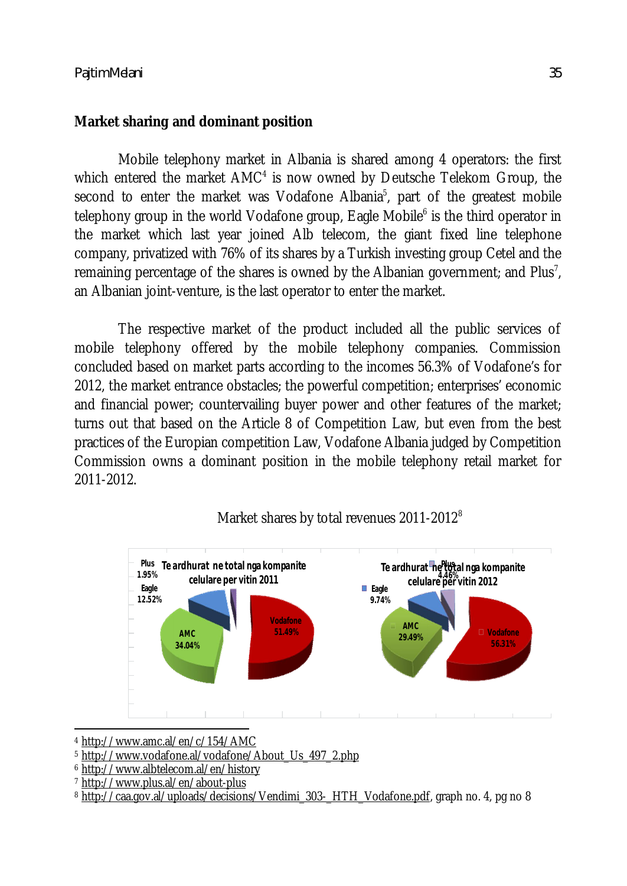## **Market sharing and dominant position**

Mobile telephony market in Albania is shared among 4 operators: the first which entered the market  $AMC<sup>4</sup>$  is now owned by Deutsche Telekom Group, the second to enter the market was Vodafone Albania<sup>5</sup>, part of the greatest mobile telephony group in the world Vodafone group, Eagle Mobile<sup>6</sup> is the third operator in the market which last year joined Alb telecom, the giant fixed line telephone company, privatized with 76% of its shares by a Turkish investing group Cetel and the remaining percentage of the shares is owned by the Albanian government; and Plus<sup>7</sup>, an Albanian joint-venture, is the last operator to enter the market.

The respective market of the product included all the public services of mobile telephony offered by the mobile telephony companies. Commission concluded based on market parts according to the incomes 56.3% of Vodafone's for 2012, the market entrance obstacles; the powerful competition; enterprises' economic and financial power; countervailing buyer power and other features of the market; turns out that based on the Article 8 of Competition Law, but even from the best practices of the Europian competition Law, Vodafone Albania judged by Competition Commission owns a dominant position in the mobile telephony retail market for 2011-2012.



# Market shares by total revenues 2011-2012<sup>8</sup>

 $\overline{a}$ <sup>4</sup> http://www.amc.al/en/c/154/AMC

<sup>5</sup> http://www.vodafone.al/vodafone/About\_Us\_497\_2.php

<sup>6</sup> http://www.albtelecom.al/en/history

<sup>7</sup> http://www.plus.al/en/about-plus

<sup>8</sup> http://caa.gov.al/uploads/decisions/Vendimi\_303-\_HTH\_Vodafone.pdf, graph no. 4, pg no 8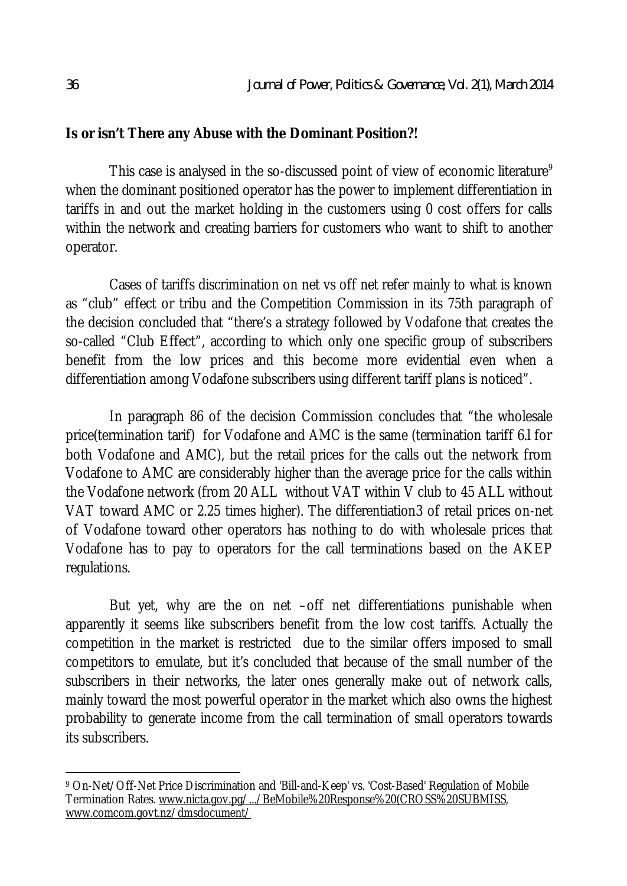#### **Is or isn't There any Abuse with the Dominant Position?!**

This case is analysed in the so-discussed point of view of economic literature<sup>9</sup> when the dominant positioned operator has the power to implement differentiation in tariffs in and out the market holding in the customers using 0 cost offers for calls within the network and creating barriers for customers who want to shift to another operator.

Cases of tariffs discrimination on net vs off net refer mainly to what is known as "club" effect or tribu and the Competition Commission in its 75th paragraph of the decision concluded that "there's a strategy followed by Vodafone that creates the so-called "Club Effect", according to which only one specific group of subscribers benefit from the low prices and this become more evidential even when a differentiation among Vodafone subscribers using different tariff plans is noticed".

In paragraph 86 of the decision Commission concludes that "the wholesale price(termination tarif) for Vodafone and AMC is the same (termination tariff 6.l for both Vodafone and AMC), but the retail prices for the calls out the network from Vodafone to AMC are considerably higher than the average price for the calls within the Vodafone network (from 20 ALL without VAT within V club to 45 ALL without VAT toward AMC or 2.25 times higher). The differentiation3 of retail prices on-net of Vodafone toward other operators has nothing to do with wholesale prices that Vodafone has to pay to operators for the call terminations based on the AKEP regulations.

But yet, why are the on net –off net differentiations punishable when apparently it seems like subscribers benefit from the low cost tariffs. Actually the competition in the market is restricted due to the similar offers imposed to small competitors to emulate, but it's concluded that because of the small number of the subscribers in their networks, the later ones generally make out of network calls, mainly toward the most powerful operator in the market which also owns the highest probability to generate income from the call termination of small operators towards its subscribers.

 $\overline{a}$ <sup>9</sup> On-Net/Off-Net Price Discrimination and 'Bill-and-Keep' vs. 'Cost-Based' Regulation of Mobile Termination Rates. www.nicta.gov.pg/.../BeMobile%20Response%20(CROSS%20SUBMISS, www.comcom.govt.nz/dmsdocument/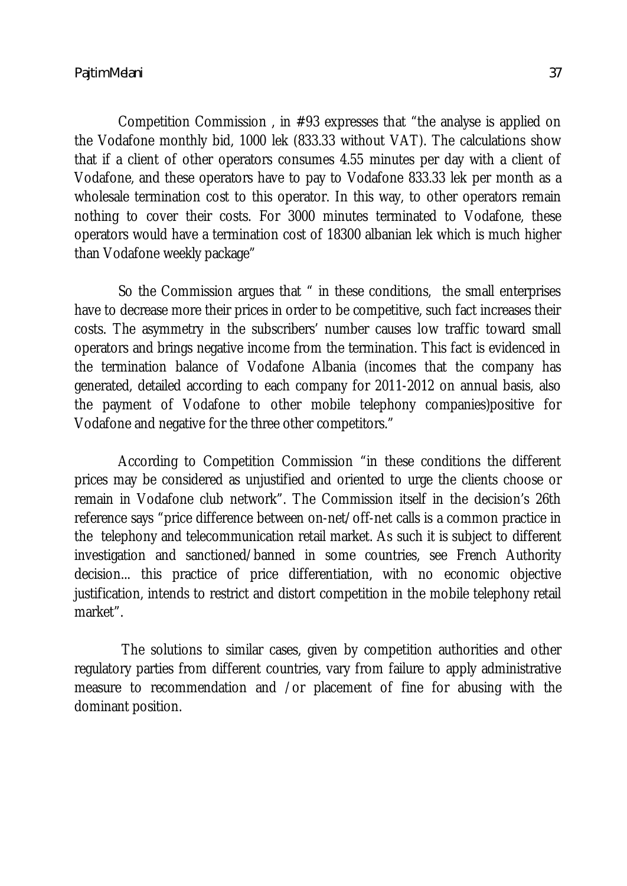Competition Commission , in #93 expresses that "the analyse is applied on the Vodafone monthly bid, 1000 lek (833.33 without VAT). The calculations show that if a client of other operators consumes 4.55 minutes per day with a client of Vodafone, and these operators have to pay to Vodafone 833.33 lek per month as a wholesale termination cost to this operator. In this way, to other operators remain nothing to cover their costs. For 3000 minutes terminated to Vodafone, these operators would have a termination cost of 18300 albanian lek which is much higher than Vodafone weekly package"

So the Commission argues that " in these conditions, the small enterprises have to decrease more their prices in order to be competitive, such fact increases their costs. The asymmetry in the subscribers' number causes low traffic toward small operators and brings negative income from the termination. This fact is evidenced in the termination balance of Vodafone Albania (incomes that the company has generated, detailed according to each company for 2011-2012 on annual basis, also the payment of Vodafone to other mobile telephony companies)positive for Vodafone and negative for the three other competitors."

According to Competition Commission "in these conditions the different prices may be considered as unjustified and oriented to urge the clients choose or remain in Vodafone club network". The Commission itself in the decision's 26th reference says "price difference between on-net/off-net calls is a common practice in the telephony and telecommunication retail market. As such it is subject to different investigation and sanctioned/banned in some countries, see French Authority decision... this practice of price differentiation, with no economic objective justification, intends to restrict and distort competition in the mobile telephony retail market".

The solutions to similar cases, given by competition authorities and other regulatory parties from different countries, vary from failure to apply administrative measure to recommendation and /or placement of fine for abusing with the dominant position.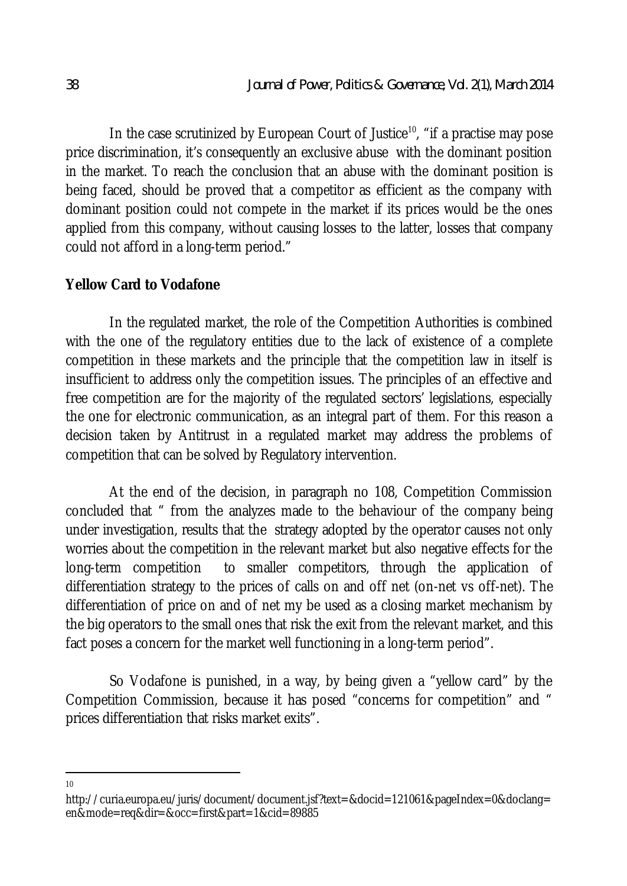In the case scrutinized by European Court of Justice<sup>10</sup>, "if a practise may pose price discrimination, it's consequently an exclusive abuse with the dominant position in the market. To reach the conclusion that an abuse with the dominant position is being faced, should be proved that a competitor as efficient as the company with dominant position could not compete in the market if its prices would be the ones applied from this company, without causing losses to the latter, losses that company could not afford in a long-term period."

### **Yellow Card to Vodafone**

In the regulated market, the role of the Competition Authorities is combined with the one of the regulatory entities due to the lack of existence of a complete competition in these markets and the principle that the competition law in itself is insufficient to address only the competition issues. The principles of an effective and free competition are for the majority of the regulated sectors' legislations, especially the one for electronic communication, as an integral part of them. For this reason a decision taken by Antitrust in a regulated market may address the problems of competition that can be solved by Regulatory intervention.

At the end of the decision, in paragraph no 108, Competition Commission concluded that " from the analyzes made to the behaviour of the company being under investigation, results that the strategy adopted by the operator causes not only worries about the competition in the relevant market but also negative effects for the long-term competition to smaller competitors, through the application of differentiation strategy to the prices of calls on and off net (on-net vs off-net). The differentiation of price on and of net my be used as a closing market mechanism by the big operators to the small ones that risk the exit from the relevant market, and this fact poses a concern for the market well functioning in a long-term period".

So Vodafone is punished, in a way, by being given a "yellow card" by the Competition Commission, because it has posed "concerns for competition" and " prices differentiation that risks market exits".

 $\overline{a}$ 10

http://curia.europa.eu/juris/document/document.jsf?text=&docid=121061&pageIndex=0&doclang= en&mode=req&dir=&occ=first&part=1&cid=89885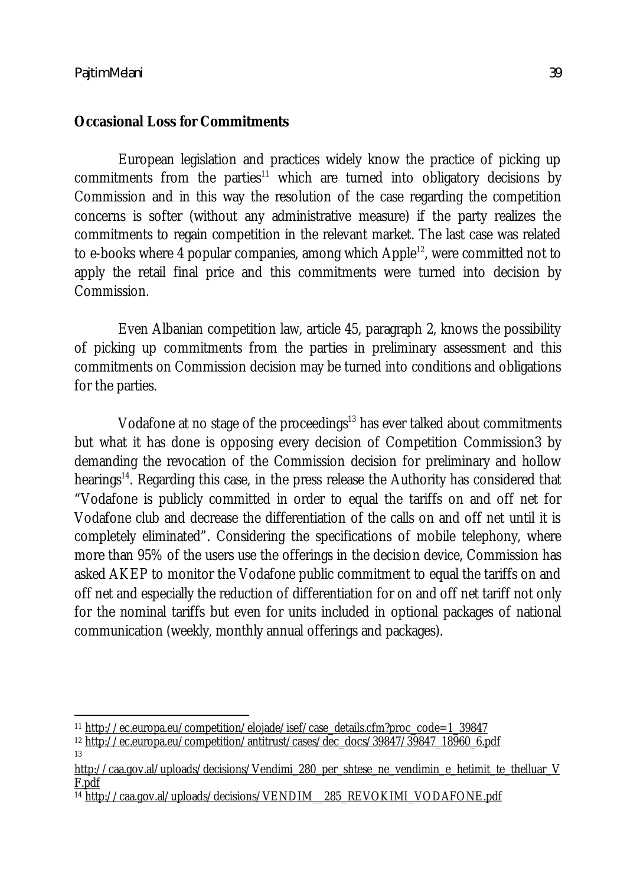13

#### **Occasional Loss for Commitments**

European legislation and practices widely know the practice of picking up commitments from the parties<sup>11</sup> which are turned into obligatory decisions by Commission and in this way the resolution of the case regarding the competition concerns is softer (without any administrative measure) if the party realizes the commitments to regain competition in the relevant market. The last case was related to e-books where 4 popular companies, among which Apple<sup>12</sup>, were committed not to apply the retail final price and this commitments were turned into decision by Commission.

Even Albanian competition law, article 45, paragraph 2, knows the possibility of picking up commitments from the parties in preliminary assessment and this commitments on Commission decision may be turned into conditions and obligations for the parties.

Vodafone at no stage of the proceedings<sup>13</sup> has ever talked about commitments but what it has done is opposing every decision of Competition Commission3 by demanding the revocation of the Commission decision for preliminary and hollow hearings<sup>14</sup>. Regarding this case, in the press release the Authority has considered that "Vodafone is publicly committed in order to equal the tariffs on and off net for Vodafone club and decrease the differentiation of the calls on and off net until it is completely eliminated". Considering the specifications of mobile telephony, where more than 95% of the users use the offerings in the decision device, Commission has asked AKEP to monitor the Vodafone public commitment to equal the tariffs on and off net and especially the reduction of differentiation for on and off net tariff not only for the nominal tariffs but even for units included in optional packages of national communication (weekly, monthly annual offerings and packages).

 $\overline{a}$ <sup>11</sup> http://ec.europa.eu/competition/elojade/isef/case\_details.cfm?proc\_code=1\_39847

<sup>&</sup>lt;sup>12</sup> http://ec.europa.eu/competition/antitrust/cases/dec\_docs/39847/39847\_18960\_6.pdf

http://caa.gov.al/uploads/decisions/Vendimi\_280\_per\_shtese\_ne\_vendimin\_e\_hetimit\_te\_thelluar\_V\_ F.pdf

<sup>14</sup> http://caa.gov.al/uploads/decisions/VENDIM\_\_285\_REVOKIMI\_VODAFONE.pdf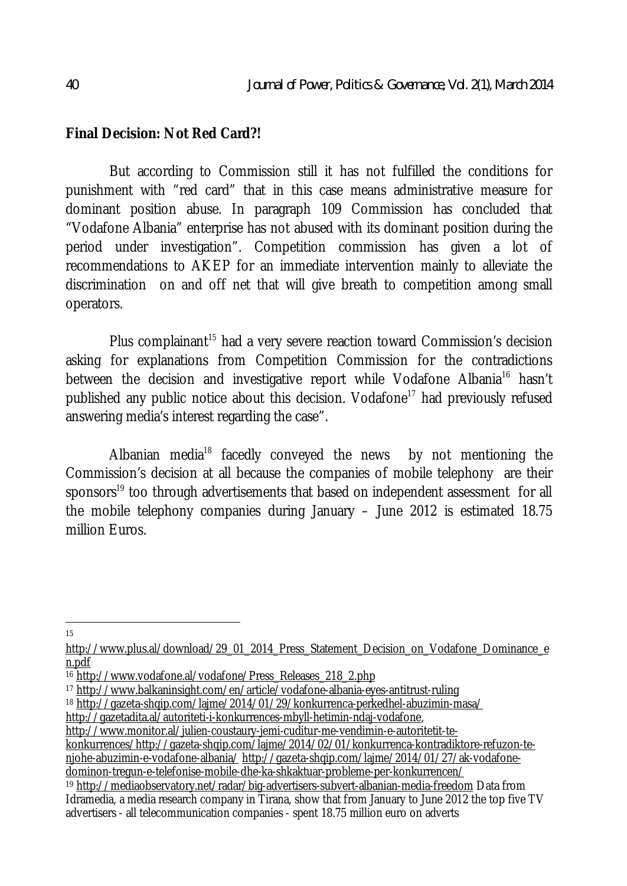#### **Final Decision: Not Red Card?!**

But according to Commission still it has not fulfilled the conditions for punishment with "red card" that in this case means administrative measure for dominant position abuse. In paragraph 109 Commission has concluded that "Vodafone Albania" enterprise has not abused with its dominant position during the period under investigation". Competition commission has given a lot of recommendations to AKEP for an immediate intervention mainly to alleviate the discrimination on and off net that will give breath to competition among small operators.

Plus complainant<sup>15</sup> had a very severe reaction toward Commission's decision asking for explanations from Competition Commission for the contradictions between the decision and investigative report while Vodafone Albania<sup>16</sup> hasn't published any public notice about this decision. Vodafone<sup>17</sup> had previously refused answering media's interest regarding the case".

Albanian media<sup>18</sup> facedly conveyed the news by not mentioning the Commission's decision at all because the companies of mobile telephony are their sponsors<sup>19</sup> too through advertisements that based on independent assessment for all the mobile telephony companies during January – June 2012 is estimated 18.75 million Euros.

 $\overline{a}$ 15

- <sup>18</sup> http://gazeta-shqip.com/lajme/2014/01/29/konkurrenca-perkedhel-abuzimin-masa/
- http://gazetadita.al/autoriteti-i-konkurrences-mbyll-hetimin-ndaj-vodafone,

http://www.monitor.al/julien-coustaury-jemi-cuditur-me-vendimin-e-autoritetit-te-

konkurrences/http://gazeta-shqip.com/lajme/2014/02/01/konkurrenca-kontradiktore-refuzon-tenjohe-abuzimin-e-vodafone-albania/ http://gazeta-shqip.com/lajme/2014/01/27/ak-vodafonedominon-tregun-e-telefonise-mobile-dhe-ka-shkaktuar-probleme-per-konkurrencen/

http://www.plus.al/download/29\_01\_2014\_Press\_Statement\_Decision\_on\_Vodafone\_Dominance\_e n.pdf

<sup>&</sup>lt;sup>16</sup> http://www.vodafone.al/vodafone/Press\_Releases\_218\_2.php

<sup>17</sup> http://www.balkaninsight.com/en/article/vodafone-albania-eyes-antitrust-ruling

<sup>19</sup> http://mediaobservatory.net/radar/big-advertisers-subvert-albanian-media-freedom Data from Idramedia, a media research company in Tirana, show that from January to June 2012 the top five TV

advertisers - all telecommunication companies - spent 18.75 million euro on adverts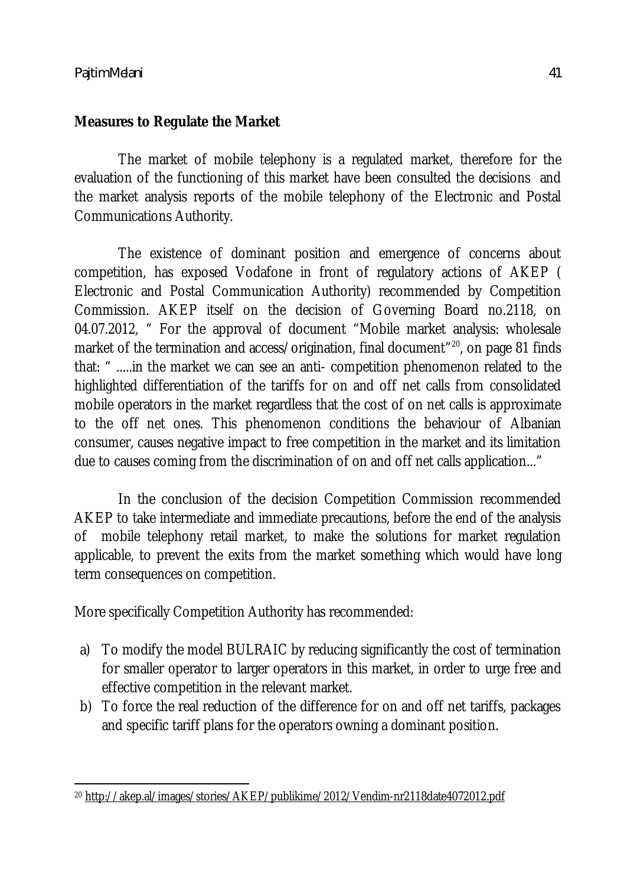# **Measures to Regulate the Market**

The market of mobile telephony is a regulated market, therefore for the evaluation of the functioning of this market have been consulted the decisions and the market analysis reports of the mobile telephony of the Electronic and Postal Communications Authority.

The existence of dominant position and emergence of concerns about competition, has exposed Vodafone in front of regulatory actions of AKEP ( Electronic and Postal Communication Authority) recommended by Competition Commission. AKEP itself on the decision of Governing Board no.2118, on 04.07.2012, " For the approval of document "Mobile market analysis: wholesale market of the termination and access/origination, final document<sup>"20</sup>, on page 81 finds that: " .....in the market we can see an anti- competition phenomenon related to the highlighted differentiation of the tariffs for on and off net calls from consolidated mobile operators in the market regardless that the cost of on net calls is approximate to the off net ones. This phenomenon conditions the behaviour of Albanian consumer, causes negative impact to free competition in the market and its limitation due to causes coming from the discrimination of on and off net calls application..."

In the conclusion of the decision Competition Commission recommended AKEP to take intermediate and immediate precautions, before the end of the analysis of mobile telephony retail market, to make the solutions for market regulation applicable, to prevent the exits from the market something which would have long term consequences on competition.

More specifically Competition Authority has recommended:

- a) To modify the model BULRAIC by reducing significantly the cost of termination for smaller operator to larger operators in this market, in order to urge free and effective competition in the relevant market.
- b) To force the real reduction of the difference for on and off net tariffs, packages and specific tariff plans for the operators owning a dominant position.

 $\overline{\phantom{a}}$ <sup>20</sup> http://akep.al/images/stories/AKEP/publikime/2012/Vendim-nr2118date4072012.pdf